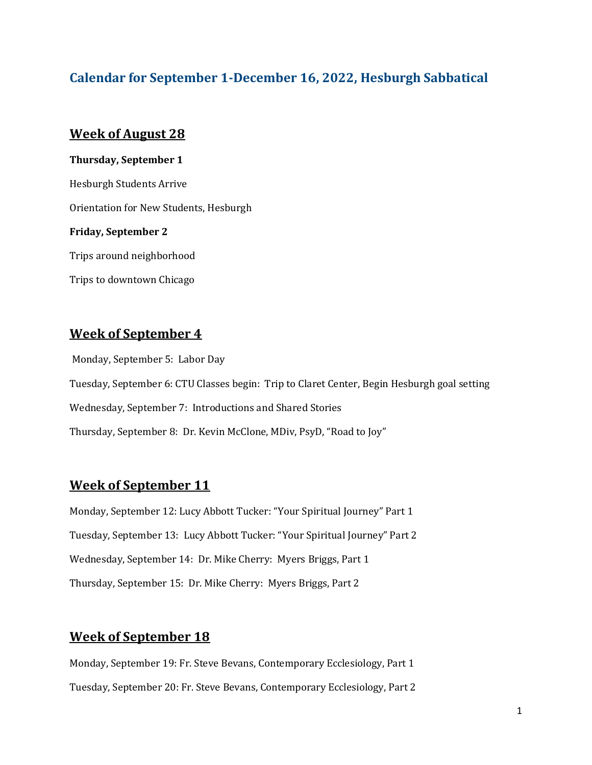# **Calendar for September 1-December 16, 2022, Hesburgh Sabbatical**

#### **Week of August 28**

**Thursday, September 1** Hesburgh Students Arrive Orientation for New Students, Hesburgh **Friday, September 2** Trips around neighborhood

Trips to downtown Chicago

## **Week of September 4**

Monday, September 5: Labor Day Tuesday, September 6: CTU Classes begin: Trip to Claret Center, Begin Hesburgh goal setting Wednesday, September 7: Introductions and Shared Stories Thursday, September 8: Dr. Kevin McClone, MDiv, PsyD, "Road to Joy"

# **Week of September 11**

Monday, September 12: Lucy Abbott Tucker: "Your Spiritual Journey" Part 1 Tuesday, September 13: Lucy Abbott Tucker: "Your Spiritual Journey" Part 2 Wednesday, September 14: Dr. Mike Cherry: Myers Briggs, Part 1 Thursday, September 15: Dr. Mike Cherry: Myers Briggs, Part 2

### **Week of September 18**

Monday, September 19: Fr. Steve Bevans, Contemporary Ecclesiology, Part 1 Tuesday, September 20: Fr. Steve Bevans, Contemporary Ecclesiology, Part 2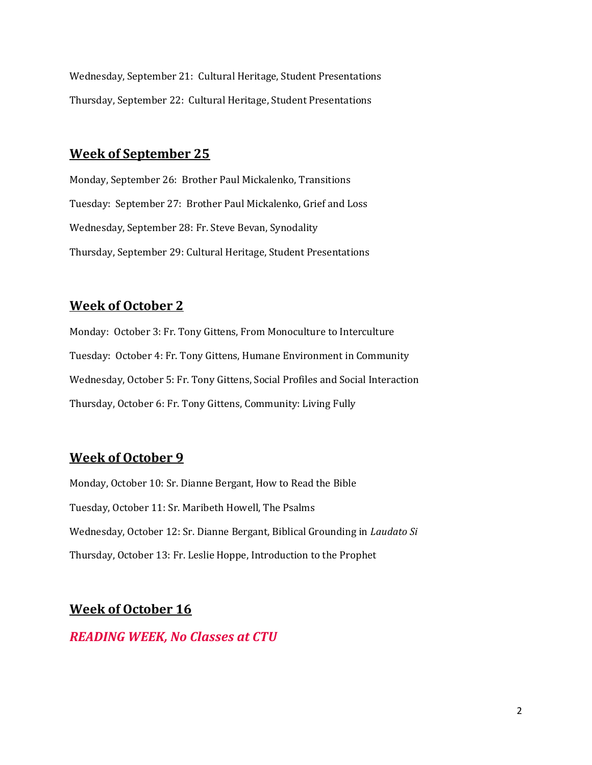Wednesday, September 21: Cultural Heritage, Student Presentations Thursday, September 22: Cultural Heritage, Student Presentations

### **Week of September 25**

Monday, September 26: Brother Paul Mickalenko, Transitions Tuesday: September 27: Brother Paul Mickalenko, Grief and Loss Wednesday, September 28: Fr. Steve Bevan, Synodality Thursday, September 29: Cultural Heritage, Student Presentations

## **Week of October 2**

Monday: October 3: Fr. Tony Gittens, From Monoculture to Interculture Tuesday: October 4: Fr. Tony Gittens, Humane Environment in Community Wednesday, October 5: Fr. Tony Gittens, Social Profiles and Social Interaction Thursday, October 6: Fr. Tony Gittens, Community: Living Fully

# **Week of October 9**

Monday, October 10: Sr. Dianne Bergant, How to Read the Bible Tuesday, October 11: Sr. Maribeth Howell, The Psalms Wednesday, October 12: Sr. Dianne Bergant, Biblical Grounding in *Laudato Si*  Thursday, October 13: Fr. Leslie Hoppe, Introduction to the Prophet

# **Week of October 16**

### *READING WEEK, No Classes at CTU*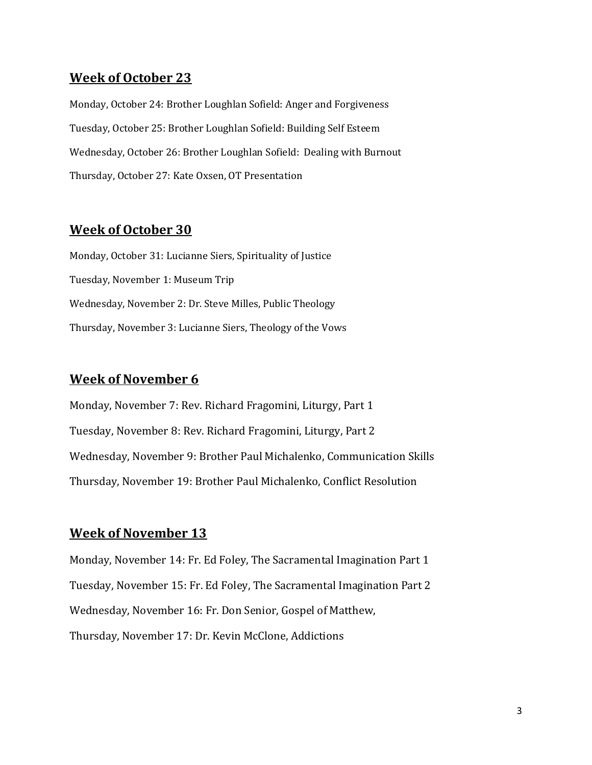## **Week of October 23**

Monday, October 24: Brother Loughlan Sofield: Anger and Forgiveness Tuesday, October 25: Brother Loughlan Sofield: Building Self Esteem Wednesday, October 26: Brother Loughlan Sofield: Dealing with Burnout Thursday, October 27: Kate Oxsen, OT Presentation

#### **Week of October 30**

Monday, October 31: Lucianne Siers, Spirituality of Justice Tuesday, November 1: Museum Trip Wednesday, November 2: Dr. Steve Milles, Public Theology Thursday, November 3: Lucianne Siers, Theology of the Vows

## **Week of November 6**

Monday, November 7: Rev. Richard Fragomini, Liturgy, Part 1 Tuesday, November 8: Rev. Richard Fragomini, Liturgy, Part 2 Wednesday, November 9: Brother Paul Michalenko, Communication Skills Thursday, November 19: Brother Paul Michalenko, Conflict Resolution

#### **Week of November 13**

Monday, November 14: Fr. Ed Foley, The Sacramental Imagination Part 1 Tuesday, November 15: Fr. Ed Foley, The Sacramental Imagination Part 2 Wednesday, November 16: Fr. Don Senior, Gospel of Matthew, Thursday, November 17: Dr. Kevin McClone, Addictions